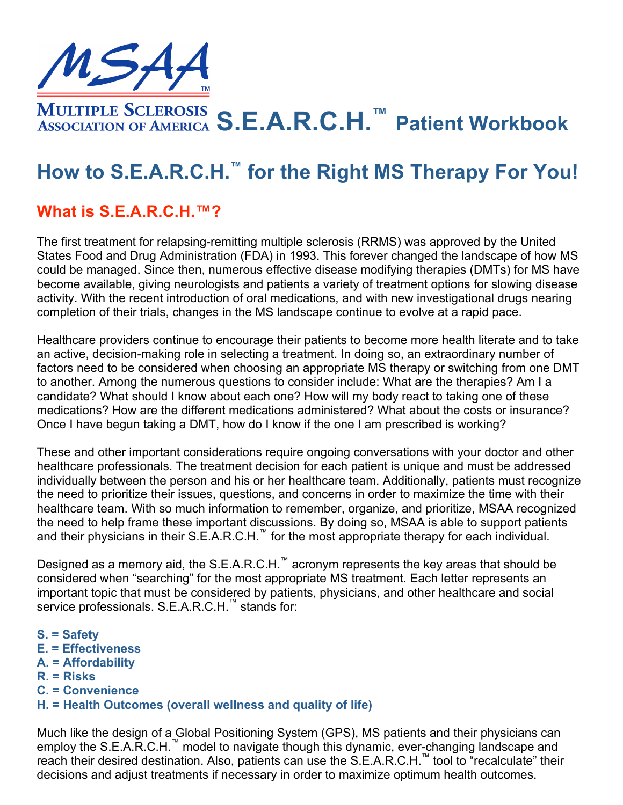

**S.E.A.R.C.H.™ Patient Workbook**

# **How to S.E.A.R.C.H.™ for the Right MS Therapy For You!**

### **What is S.E.A.R.C.H.™?**

The first treatment for relapsing-remitting multiple sclerosis (RRMS) was approved by the United States Food and Drug Administration (FDA) in 1993. This forever changed the landscape of how MS could be managed. Since then, numerous effective disease modifying therapies (DMTs) for MS have become available, giving neurologists and patients a variety of treatment options for slowing disease activity. With the recent introduction of oral medications, and with new investigational drugs nearing completion of their trials, changes in the MS landscape continue to evolve at a rapid pace.

Healthcare providers continue to encourage their patients to become more health literate and to take an active, decision-making role in selecting a treatment. In doing so, an extraordinary number of factors need to be considered when choosing an appropriate MS therapy or switching from one DMT to another. Among the numerous questions to consider include: What are the therapies? Am I a candidate? What should I know about each one? How will my body react to taking one of these medications? How are the different medications administered? What about the costs or insurance? Once I have begun taking a DMT, how do I know if the one I am prescribed is working?

These and other important considerations require ongoing conversations with your doctor and other healthcare professionals. The treatment decision for each patient is unique and must be addressed individually between the person and his or her healthcare team. Additionally, patients must recognize the need to prioritize their issues, questions, and concerns in order to maximize the time with their healthcare team. With so much information to remember, organize, and prioritize, MSAA recognized the need to help frame these important discussions. By doing so, MSAA is able to support patients and their physicians in their S.E.A.R.C.H.<sup>™</sup> for the most appropriate therapy for each individual.

Designed as a memory aid, the S.E.A.R.C.H.™ acronym represents the key areas that should be considered when "searching" for the most appropriate MS treatment. Each letter represents an important topic that must be considered by patients, physicians, and other healthcare and social service professionals. S.E.A.R.C.H.™ stands for:

- **S. = Safety**
- **E. = Effectiveness**
- **A. = Affordability**
- **R. = Risks**
- **C. = Convenience**
- **H. = Health Outcomes (overall wellness and quality of life)**

Much like the design of a Global Positioning System (GPS), MS patients and their physicians can employ the S.E.A.R.C.H.™ model to navigate though this dynamic, ever-changing landscape and reach their desired destination. Also, patients can use the S.E.A.R.C.H.™ tool to "recalculate" their decisions and adjust treatments if necessary in order to maximize optimum health outcomes.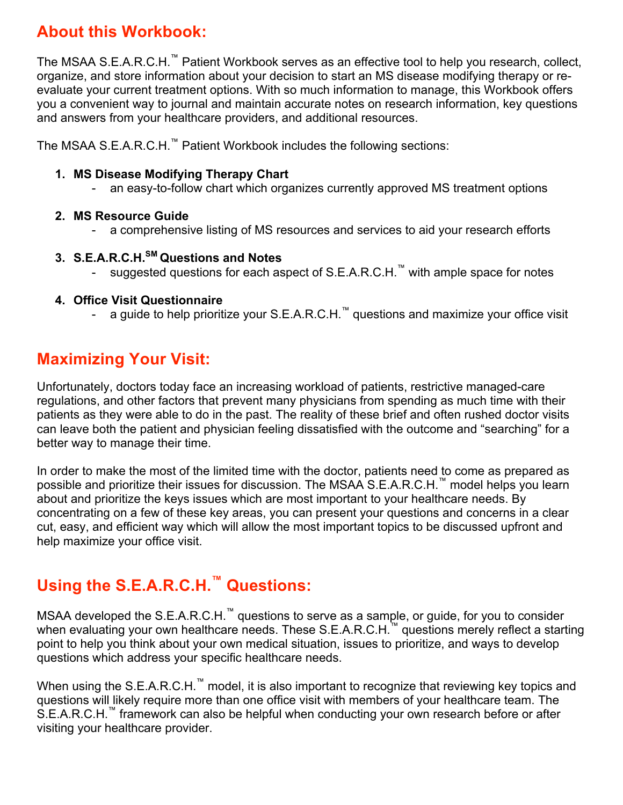## **About this Workbook:**

The MSAA S.E.A.R.C.H.™ Patient Workbook serves as an effective tool to help you research, collect, organize, and store information about your decision to start an MS disease modifying therapy or reevaluate your current treatment options. With so much information to manage, this Workbook offers you a convenient way to journal and maintain accurate notes on research information, key questions and answers from your healthcare providers, and additional resources.

The MSAA S.E.A.R.C.H.™ Patient Workbook includes the following sections:

#### **1. MS Disease Modifying Therapy Chart**

- an easy-to-follow chart which organizes currently approved MS treatment options

#### **2. MS Resource Guide**

- a comprehensive listing of MS resources and services to aid your research efforts

#### **3. S.E.A.R.C.H.SM Questions and Notes**

- suggested questions for each aspect of S.E.A.R.C.H.™ with ample space for notes

#### **4. Office Visit Questionnaire**

- a guide to help prioritize your S.E.A.R.C.H.™ questions and maximize your office visit

### **Maximizing Your Visit:**

Unfortunately, doctors today face an increasing workload of patients, restrictive managed-care regulations, and other factors that prevent many physicians from spending as much time with their patients as they were able to do in the past. The reality of these brief and often rushed doctor visits can leave both the patient and physician feeling dissatisfied with the outcome and "searching" for a better way to manage their time.

In order to make the most of the limited time with the doctor, patients need to come as prepared as possible and prioritize their issues for discussion. The MSAA S.E.A.R.C.H.<sup>™</sup> model helps you learn about and prioritize the keys issues which are most important to your healthcare needs. By concentrating on a few of these key areas, you can present your questions and concerns in a clear cut, easy, and efficient way which will allow the most important topics to be discussed upfront and help maximize your office visit.

## **Using the S.E.A.R.C.H.™ Questions:**

MSAA developed the S.E.A.R.C.H.™ questions to serve as a sample, or guide, for you to consider when evaluating your own healthcare needs. These S.E.A.R.C.H.<sup>™</sup> questions merely reflect a starting point to help you think about your own medical situation, issues to prioritize, and ways to develop questions which address your specific healthcare needs.

When using the S.E.A.R.C.H.<sup>™</sup> model, it is also important to recognize that reviewing key topics and questions will likely require more than one office visit with members of your healthcare team. The S.E.A.R.C.H.<sup>™</sup> framework can also be helpful when conducting your own research before or after visiting your healthcare provider.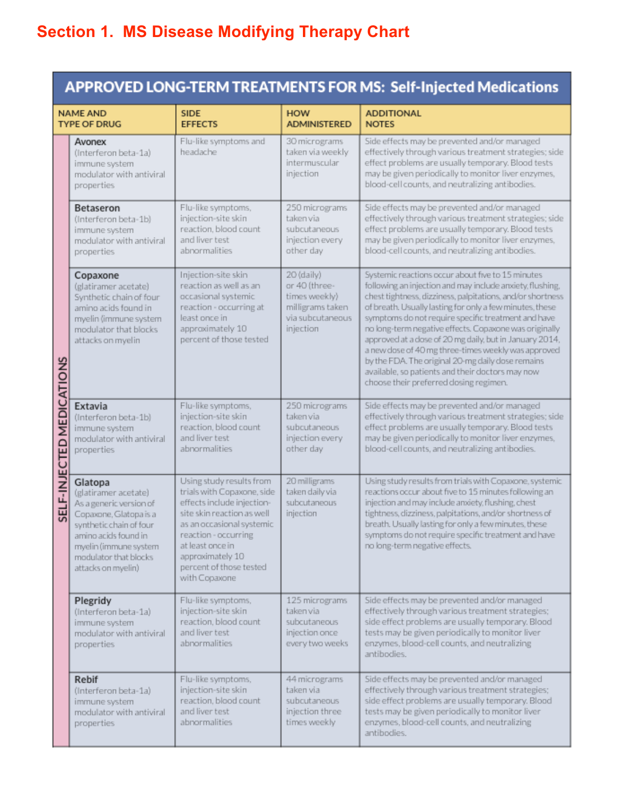# **Section 1. MS Disease Modifying Therapy Chart**

|                                        |                                                                                                                                                                                                                 |                                                                                                                                                                                                                                                               |                                                                                                   | <b>APPROVED LONG-TERM TREATMENTS FOR MS: Self-Injected Medications</b>                                                                                                                                                                                                                                                                                                                                                                                                                                                                                                                                                         |  |
|----------------------------------------|-----------------------------------------------------------------------------------------------------------------------------------------------------------------------------------------------------------------|---------------------------------------------------------------------------------------------------------------------------------------------------------------------------------------------------------------------------------------------------------------|---------------------------------------------------------------------------------------------------|--------------------------------------------------------------------------------------------------------------------------------------------------------------------------------------------------------------------------------------------------------------------------------------------------------------------------------------------------------------------------------------------------------------------------------------------------------------------------------------------------------------------------------------------------------------------------------------------------------------------------------|--|
| <b>NAME AND</b><br><b>TYPE OF DRUG</b> |                                                                                                                                                                                                                 | <b>SIDE</b><br><b>EFFECTS</b>                                                                                                                                                                                                                                 | <b>HOW</b><br><b>ADMINISTERED</b>                                                                 | <b>ADDITIONAL</b><br><b>NOTES</b>                                                                                                                                                                                                                                                                                                                                                                                                                                                                                                                                                                                              |  |
|                                        | Avonex<br>(Interferon beta-1a)<br>immune system<br>modulator with antiviral<br>properties                                                                                                                       | Flu-like symptoms and<br>headache                                                                                                                                                                                                                             | 30 micrograms<br>taken via weekly<br>intermuscular<br>injection                                   | Side effects may be prevented and/or managed<br>effectively through various treatment strategies; side<br>effect problems are usually temporary. Blood tests<br>may be given periodically to monitor liver enzymes,<br>blood-cell counts, and neutralizing antibodies.                                                                                                                                                                                                                                                                                                                                                         |  |
|                                        | Betaseron<br>(Interferon beta-1b)<br>immune system<br>modulator with antiviral<br>properties                                                                                                                    | Flu-like symptoms,<br>injection-site skin<br>reaction, blood count<br>and liver test<br>abnormalities                                                                                                                                                         | 250 micrograms<br>taken via<br>subcutaneous<br>injection every<br>other day                       | Side effects may be prevented and/or managed<br>effectively through various treatment strategies; side<br>effect problems are usually temporary. Blood tests<br>may be given periodically to monitor liver enzymes,<br>blood-cell counts, and neutralizing antibodies.                                                                                                                                                                                                                                                                                                                                                         |  |
| SELF-INJECTED MEDICATIONS              | Copaxone<br>(glatiramer acetate)<br>Synthetic chain of four<br>amino acids found in<br>myelin (immune system<br>modulator that blocks<br>attacks on myelin                                                      | Injection-site skin<br>reaction as well as an<br>occasional systemic<br>reaction - occurring at<br>least once in<br>approximately 10<br>percent of those tested                                                                                               | 20 (daily)<br>or 40 (three-<br>times weekly)<br>milligrams taken<br>via subcutaneous<br>injection | Systemic reactions occur about five to 15 minutes<br>following an injection and may include anxiety, flushing,<br>chest tightness, dizziness, palpitations, and/or shortness<br>of breath. Usually lasting for only a few minutes, these<br>symptoms do not require specific treatment and have<br>no long-term negative effects. Copaxone was originally<br>approved at a dose of 20 mg daily, but in January 2014,<br>a new dose of 40 mg three-times weekly was approved<br>by the FDA. The original 20-mg daily dose remains<br>available, so patients and their doctors may now<br>choose their preferred dosing regimen. |  |
|                                        | Extavia<br>(Interferon beta-1b)<br>immune system<br>modulator with antiviral<br>properties                                                                                                                      | Flu-like symptoms,<br>injection-site skin<br>reaction, blood count<br>and liver test<br>abnormalities                                                                                                                                                         | 250 micrograms<br>taken via<br>subcutaneous<br>injection every<br>other day                       | Side effects may be prevented and/or managed<br>effectively through various treatment strategies; side<br>effect problems are usually temporary. Blood tests<br>may be given periodically to monitor liver enzymes,<br>blood-cell counts, and neutralizing antibodies.                                                                                                                                                                                                                                                                                                                                                         |  |
|                                        | Glatopa<br>(glatiramer acetate)<br>As a generic version of<br>Copaxone, Glatopa is a<br>synthetic chain of four<br>amino acids found in<br>myelin (immune system<br>modulator that blocks<br>attacks on myelin) | Using study results from<br>trials with Copaxone, side<br>effects include injection-<br>site skin reaction as well<br>as an occasional systemic<br>reaction - occurring<br>at least once in .<br>approximately 10<br>percent of those tested<br>with Copaxone | 20 milligrams<br>taken daily via<br>subcutaneous<br>injection                                     | Using study results from trials with Copaxone, systemic<br>reactions occur about five to 15 minutes following an<br>injection and may include anxiety, flushing, chest<br>tightness, dizziness, palpitations, and/or shortness of<br>breath. Usually lasting for only a few minutes, these<br>symptoms do not require specific treatment and have<br>no long-term negative effects.                                                                                                                                                                                                                                            |  |
|                                        | Plegridy<br>(Interferon beta-1a)<br>immune system<br>modulator with antiviral<br>properties                                                                                                                     | Flu-like symptoms,<br>injection-site skin<br>reaction, blood count<br>and liver test<br>abnormalities                                                                                                                                                         | 125 micrograms<br>taken via<br>subcutaneous<br>injection once<br>every two weeks                  | Side effects may be prevented and/or managed<br>effectively through various treatment strategies;<br>side effect problems are usually temporary. Blood<br>tests may be given periodically to monitor liver<br>enzymes, blood-cell counts, and neutralizing<br>antibodies.                                                                                                                                                                                                                                                                                                                                                      |  |
|                                        | Rebif<br>(Interferon beta-1a)<br>immune system<br>modulator with antiviral<br>properties                                                                                                                        | Flu-like symptoms,<br>injection-site skin<br>reaction, blood count<br>and liver test<br>abnormalities                                                                                                                                                         | 44 micrograms<br>taken via<br>subcutaneous<br>injection three<br>times weekly                     | Side effects may be prevented and/or managed<br>effectively through various treatment strategies;<br>side effect problems are usually temporary. Blood<br>tests may be given periodically to monitor liver<br>enzymes, blood-cell counts, and neutralizing<br>antibodies.                                                                                                                                                                                                                                                                                                                                                      |  |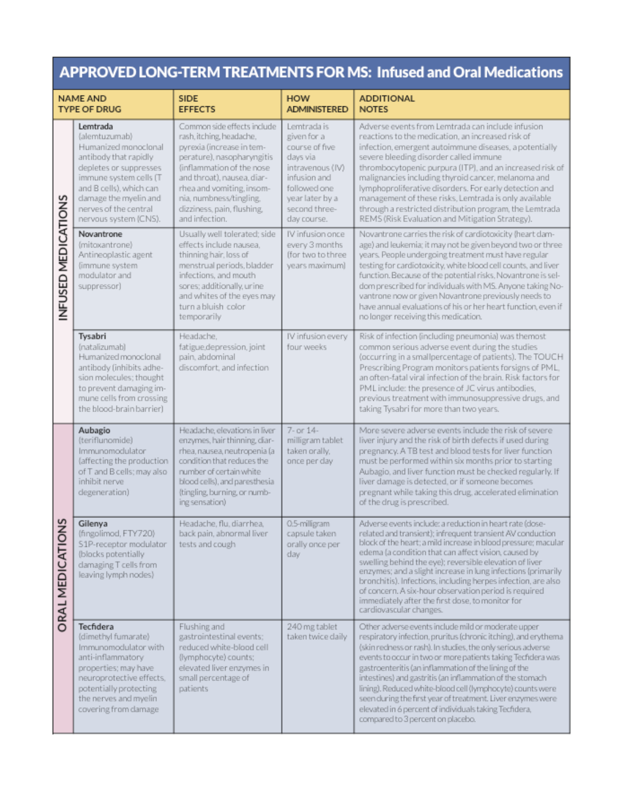## APPROVED LONG-TERM TREATMENTS FOR MS: Infused and Oral Medications

| <b>NAME AND</b><br><b>TYPE OF DRUG</b> |                                                                                                                                                                                                                                      | <b>SIDE</b><br><b>EFFECTS</b>                                                                                                                                                                                                                                                         | <b>HOW</b><br><b>ADMINISTERED</b>                                                                                                                               | <b>ADDITIONAL</b><br><b>NOTES</b>                                                                                                                                                                                                                                                                                                                                                                                                                                                                                                                                                                        |  |  |
|----------------------------------------|--------------------------------------------------------------------------------------------------------------------------------------------------------------------------------------------------------------------------------------|---------------------------------------------------------------------------------------------------------------------------------------------------------------------------------------------------------------------------------------------------------------------------------------|-----------------------------------------------------------------------------------------------------------------------------------------------------------------|----------------------------------------------------------------------------------------------------------------------------------------------------------------------------------------------------------------------------------------------------------------------------------------------------------------------------------------------------------------------------------------------------------------------------------------------------------------------------------------------------------------------------------------------------------------------------------------------------------|--|--|
|                                        | Lemtrada<br>(alemtuzumab)<br>Humanized monoclonal<br>antibody that rapidly<br>depletes or suppresses<br>immune system cells (T<br>and B cells), which can<br>damage the myelin and<br>nerves of the central<br>nervous system (CNS). | Common side effects include<br>rash, itching, headache,<br>pyrexia (increase in tem-<br>perature), nasopharyngitis<br>(inflammation of the nose<br>and throat), nausea, diar-<br>rhea and vomiting, insom-<br>nia, numbness/tingling,<br>dizziness, pain, flushing,<br>and infection. | Lemtrada is<br>given for a<br>course of five<br>days via<br>intravenous (IV)<br>infusion and<br>followed one<br>year later by a<br>second three-<br>day course. | Adverse events from Lemtrada can include infusion<br>reactions to the medication, an increased risk of<br>infection, emergent autoimmune diseases, a potentially<br>severe bleeding disorder called immune<br>thrombocytopenic purpura (ITP), and an increased risk of<br>malignancies including thyroid cancer, melanoma and<br>lymphoproliferative disorders. For early detection and<br>management of these risks, Lemtrada is only available<br>through a restricted distribution program, the Lemtrada<br>REMS (Risk Evaluation and Mitigation Strategy).                                           |  |  |
| <b>NFUSED MEDICATIONS</b>              | Novantrone<br>(mitoxantrone)<br>Antineoplastic agent<br>(immune system<br>modulator and<br>suppressor)                                                                                                                               | Usually well tolerated; side<br>effects include nausea.<br>thinning hair, loss of<br>menstrual periods, bladder<br>infections, and mouth<br>sores; additionally, urine<br>and whites of the eyes may<br>turn a bluish color<br>temporarily                                            | IV infusion once<br>every 3 months<br>(for two to three<br>years maximum)                                                                                       | Novantrone carries the risk of cardiotoxicity (heart dam-<br>age) and leukemia; it may not be given beyond two or three<br>years. People undergoing treatment must have regular<br>testing for cardiotoxicity, white blood cell counts, and liver<br>function. Because of the potential risks, Novantrone is sel-<br>dom prescribed for individuals with MS. Anyone taking No-<br>vantrone now or given Novantrone previously needs to<br>have annual evaluations of his or her heart function, even if<br>no longer receiving this medication.                                                          |  |  |
|                                        | Tysabri<br>(natalizumab)<br>Humanized monoclonal<br>antibody (inhibits adhe-<br>sion molecules; thought<br>to prevent damaging im-<br>mune cells from crossing<br>the blood-brain barrier)                                           | Headache.<br>fatigue, depression, joint<br>pain, abdominal<br>discomfort, and infection                                                                                                                                                                                               | IV infusion every<br>four weeks                                                                                                                                 | Risk of infection (including pneumonia) was themost<br>common serious adverse event during the studies<br>(occurring in a smallpercentage of patients). The TOUCH<br>Prescribing Program monitors patients forsigns of PML,<br>an often-fatal viral infection of the brain. Risk factors for<br>PML include: the presence of JC virus antibodies,<br>previous treatment with immunosuppressive drugs, and<br>taking Tysabri for more than two years.                                                                                                                                                     |  |  |
|                                        | Aubagio<br>(teriflunomide)<br>Immunomodulator<br>(affecting the production<br>of T and B cells; may also<br>inhibit nerve<br>degeneration)                                                                                           | Headache, elevations in liver<br>enzymes, hair thinning, diar-<br>rhea, nausea, neutropenia (a<br>condition that reduces the<br>number of certain white<br>blood cells), and paresthesia<br>(tingling, burning, or numb-<br>ing sensation)                                            | 7- or 14-<br>milligram tablet<br>taken orally.<br>once per day                                                                                                  | More severe adverse events include the risk of severe<br>liver injury and the risk of birth defects if used during<br>pregnancy. A TB test and blood tests for liver function<br>must be performed within six months prior to starting<br>Aubagio, and liver function must be checked regularly. If<br>liver damage is detected, or if someone becomes<br>pregnant while taking this drug, accelerated elimination<br>of the drug is prescribed.                                                                                                                                                         |  |  |
| <b>SNO</b><br><b>ORAL MEDICATI</b>     | Gilenya<br>(fingolimod, FTY720)<br>S1P-receptor modulator<br>(blocks potentially<br>damaging T cells from<br>leaving lymph nodes)                                                                                                    | Headache, flu, diarrhea.<br>back pain, abnormal liver<br>tests and cough                                                                                                                                                                                                              | 0.5-milligram<br>capsule taken<br>orally once per<br>day                                                                                                        | Adverse events include: a reduction in heart rate (dose-<br>related and transient); infrequent transient AV conduction<br>block of the heart; a mild increase in blood pressure; macular<br>edema (a condition that can affect vision, caused by<br>swelling behind the eye); reversible elevation of liver<br>enzymes; and a slight increase in lung infections (primarily<br>bronchitis). Infections, including herpes infection, are also<br>of concern. A six-hour observation period is required<br>immediately after the first dose, to monitor for<br>cardiovascular changes.                     |  |  |
|                                        | Tecfidera<br>(dimethyl fumarate)<br>Immunomodulator with<br>anti-inflammatory<br>properties; may have<br>neuroprotective effects.<br>potentially protecting<br>the nerves and myelin<br>covering from damage                         | Flushing and<br>gastrointestinal events;<br>reduced white-blood cell<br>(lymphocyte) counts;<br>elevated liver enzymes in<br>small percentage of<br>patients                                                                                                                          | 240 mg tablet<br>taken twice daily                                                                                                                              | Other adverse events include mild or moderate upper<br>respiratory infection, pruritus (chronic itching), and erythema<br>(skin redness or rash). In studies, the only serious adverse<br>events to occur in two or more patients taking Tecfidera was<br>gastroenteritis (an inflammation of the lining of the<br>intestines) and gastritis (an inflammation of the stomach<br>lining). Reduced white-blood cell (lymphocyte) counts were<br>seen during the first year of treatment. Liver enzymes were<br>elevated in 6 percent of individuals taking Tecfidera,<br>compared to 3 percent on placebo. |  |  |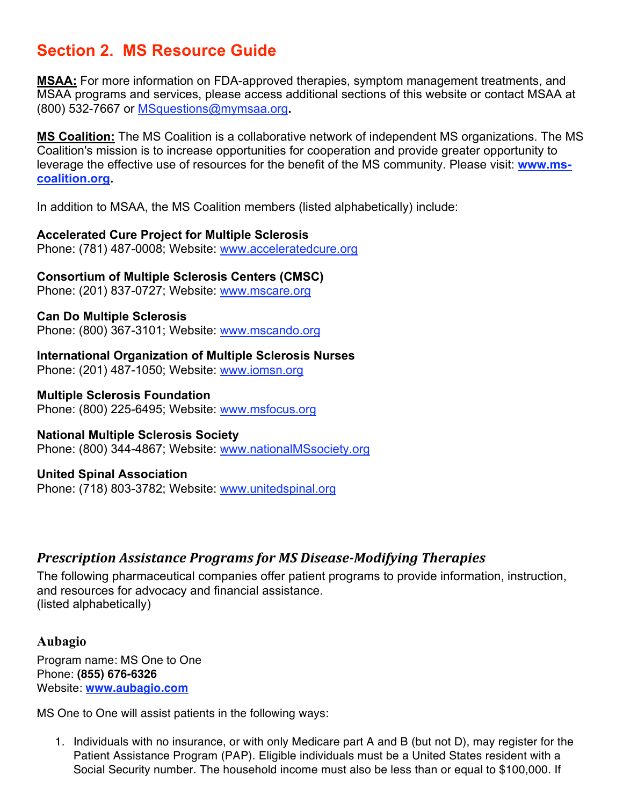## **Section 2. MS Resource Guide**

**MSAA:** For more information on FDA-approved therapies, symptom management treatments, and MSAA programs and services, please access additional sections of this website or contact MSAA at (800) 532-7667 or MSquestions@mymsaa.org**.**

**MS Coalition:** The MS Coalition is a collaborative network of independent MS organizations. The MS Coalition's mission is to increase opportunities for cooperation and provide greater opportunity to leverage the effective use of resources for the benefit of the MS community. Please visit: **www.mscoalition.org.**

In addition to MSAA, the MS Coalition members (listed alphabetically) include:

#### **Accelerated Cure Project for Multiple Sclerosis**

Phone: (781) 487-0008; Website: www.acceleratedcure.org

#### **Consortium of Multiple Sclerosis Centers (CMSC)**

Phone: (201) 837-0727; Website: www.mscare.org

#### **Can Do Multiple Sclerosis**

Phone: (800) 367-3101; Website: www.mscando.org

**International Organization of Multiple Sclerosis Nurses** Phone: (201) 487-1050; Website: www.iomsn.org

#### **Multiple Sclerosis Foundation**

Phone: (800) 225-6495; Website: www.msfocus.org

#### **National Multiple Sclerosis Society**

Phone: (800) 344-4867; Website: www.nationalMSsociety.org

#### **United Spinal Association**

Phone: (718) 803-3782; Website: www.unitedspinal.org

#### *Prescription Assistance Programs for MS Disease-Modifying Therapies*

The following pharmaceutical companies offer patient programs to provide information, instruction, and resources for advocacy and financial assistance. (listed alphabetically)

#### **Aubagio**

Program name: MS One to One Phone: **(855) 676-6326** Website: **www.aubagio.com**

MS One to One will assist patients in the following ways:

1. Individuals with no insurance, or with only Medicare part A and B (but not D), may register for the Patient Assistance Program (PAP). Eligible individuals must be a United States resident with a Social Security number. The household income must also be less than or equal to \$100,000. If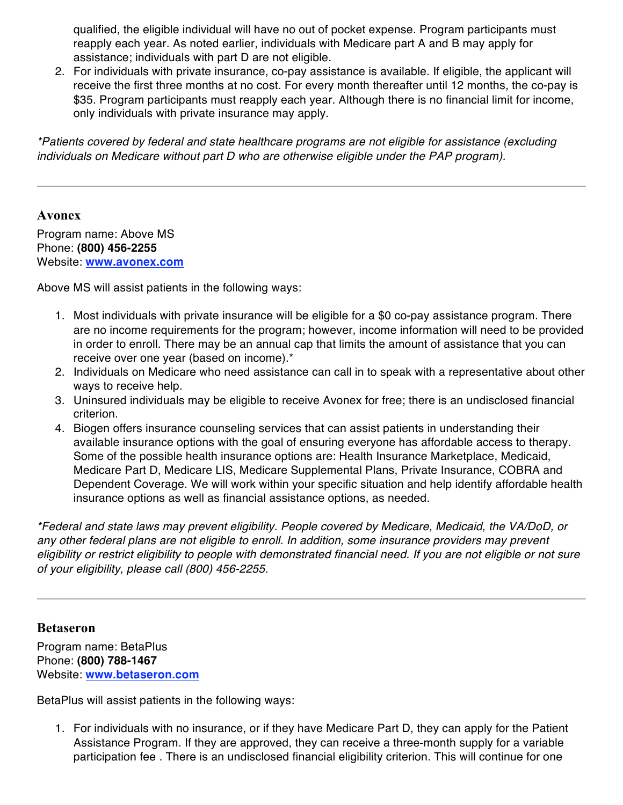qualified, the eligible individual will have no out of pocket expense. Program participants must reapply each year. As noted earlier, individuals with Medicare part A and B may apply for assistance; individuals with part D are not eligible.

2. For individuals with private insurance, co-pay assistance is available. If eligible, the applicant will receive the first three months at no cost. For every month thereafter until 12 months, the co-pay is \$35. Program participants must reapply each year. Although there is no financial limit for income, only individuals with private insurance may apply.

*\*Patients covered by federal and state healthcare programs are not eligible for assistance (excluding individuals on Medicare without part D who are otherwise eligible under the PAP program).*

#### **Avonex**

Program name: Above MS Phone: **(800) 456-2255** Website: **www.avonex.com**

Above MS will assist patients in the following ways:

- 1. Most individuals with private insurance will be eligible for a \$0 co-pay assistance program. There are no income requirements for the program; however, income information will need to be provided in order to enroll. There may be an annual cap that limits the amount of assistance that you can receive over one year (based on income).\*
- 2. Individuals on Medicare who need assistance can call in to speak with a representative about other ways to receive help.
- 3. Uninsured individuals may be eligible to receive Avonex for free; there is an undisclosed financial criterion.
- 4. Biogen offers insurance counseling services that can assist patients in understanding their available insurance options with the goal of ensuring everyone has affordable access to therapy. Some of the possible health insurance options are: Health Insurance Marketplace, Medicaid, Medicare Part D, Medicare LIS, Medicare Supplemental Plans, Private Insurance, COBRA and Dependent Coverage. We will work within your specific situation and help identify affordable health insurance options as well as financial assistance options, as needed.

*\*Federal and state laws may prevent eligibility. People covered by Medicare, Medicaid, the VA/DoD, or*  any other federal plans are not eligible to enroll. In addition, some insurance providers may prevent *eligibility or restrict eligibility to people with demonstrated financial need. If you are not eligible or not sure of your eligibility, please call (800) 456-2255.*

#### **Betaseron**

Program name: BetaPlus Phone: **(800) 788-1467** Website: **www.betaseron.com**

BetaPlus will assist patients in the following ways:

1. For individuals with no insurance, or if they have Medicare Part D, they can apply for the Patient Assistance Program. If they are approved, they can receive a three-month supply for a variable participation fee . There is an undisclosed financial eligibility criterion. This will continue for one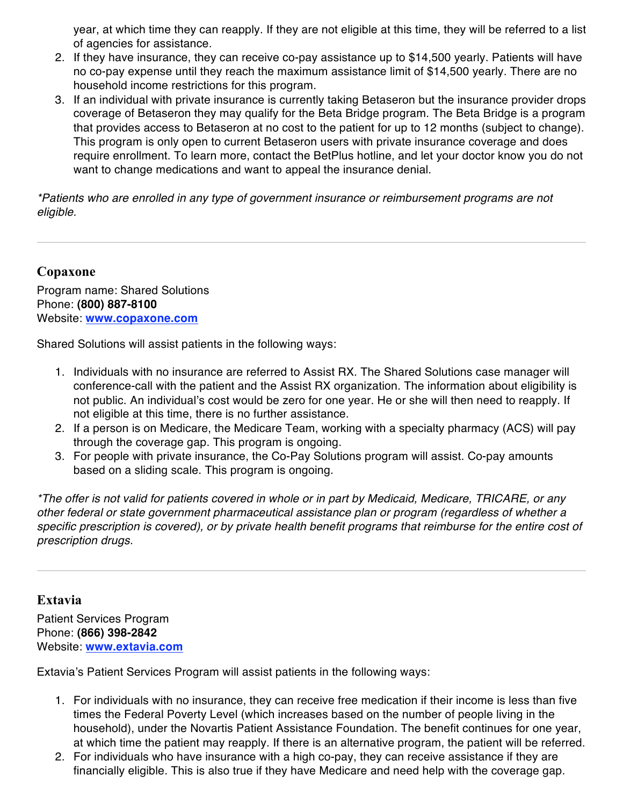year, at which time they can reapply. If they are not eligible at this time, they will be referred to a list of agencies for assistance.

- 2. If they have insurance, they can receive co-pay assistance up to \$14,500 yearly. Patients will have no co-pay expense until they reach the maximum assistance limit of \$14,500 yearly. There are no household income restrictions for this program.
- 3. If an individual with private insurance is currently taking Betaseron but the insurance provider drops coverage of Betaseron they may qualify for the Beta Bridge program. The Beta Bridge is a program that provides access to Betaseron at no cost to the patient for up to 12 months (subject to change). This program is only open to current Betaseron users with private insurance coverage and does require enrollment. To learn more, contact the BetPlus hotline, and let your doctor know you do not want to change medications and want to appeal the insurance denial.

*\*Patients who are enrolled in any type of government insurance or reimbursement programs are not eligible.*

#### **Copaxone**

Program name: Shared Solutions Phone: **(800) 887-8100** Website: **www.copaxone.com**

Shared Solutions will assist patients in the following ways:

- 1. Individuals with no insurance are referred to Assist RX. The Shared Solutions case manager will conference-call with the patient and the Assist RX organization. The information about eligibility is not public. An individual's cost would be zero for one year. He or she will then need to reapply. If not eligible at this time, there is no further assistance.
- 2. If a person is on Medicare, the Medicare Team, working with a specialty pharmacy (ACS) will pay through the coverage gap. This program is ongoing.
- 3. For people with private insurance, the Co-Pay Solutions program will assist. Co-pay amounts based on a sliding scale. This program is ongoing.

*\*The offer is not valid for patients covered in whole or in part by Medicaid, Medicare, TRICARE, or any other federal or state government pharmaceutical assistance plan or program (regardless of whether a specific prescription is covered), or by private health benefit programs that reimburse for the entire cost of prescription drugs.*

#### **Extavia**

Patient Services Program Phone: **(866) 398-2842** Website: **www.extavia.com**

Extavia's Patient Services Program will assist patients in the following ways:

- 1. For individuals with no insurance, they can receive free medication if their income is less than five times the Federal Poverty Level (which increases based on the number of people living in the household), under the Novartis Patient Assistance Foundation. The benefit continues for one year, at which time the patient may reapply. If there is an alternative program, the patient will be referred.
- 2. For individuals who have insurance with a high co-pay, they can receive assistance if they are financially eligible. This is also true if they have Medicare and need help with the coverage gap.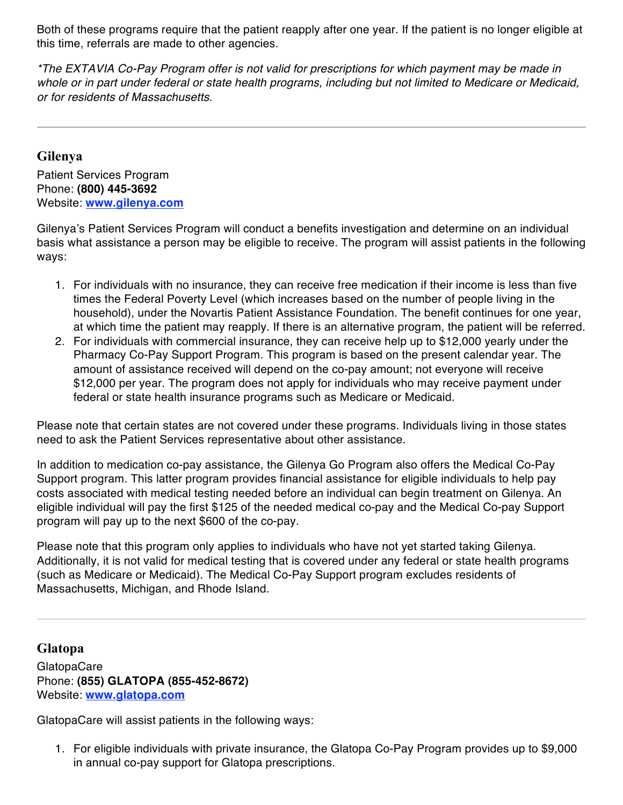Both of these programs require that the patient reapply after one year. If the patient is no longer eligible at this time, referrals are made to other agencies.

*\*The EXTAVIA Co-Pay Program offer is not valid for prescriptions for which payment may be made in whole or in part under federal or state health programs, including but not limited to Medicare or Medicaid, or for residents of Massachusetts.*

#### **Gilenya**

Patient Services Program Phone: **(800) 445-3692** Website: **www.gilenya.com**

Gilenya's Patient Services Program will conduct a benefits investigation and determine on an individual basis what assistance a person may be eligible to receive. The program will assist patients in the following ways:

- 1. For individuals with no insurance, they can receive free medication if their income is less than five times the Federal Poverty Level (which increases based on the number of people living in the household), under the Novartis Patient Assistance Foundation. The benefit continues for one year, at which time the patient may reapply. If there is an alternative program, the patient will be referred.
- 2. For individuals with commercial insurance, they can receive help up to \$12,000 yearly under the Pharmacy Co-Pay Support Program. This program is based on the present calendar year. The amount of assistance received will depend on the co-pay amount; not everyone will receive \$12,000 per year. The program does not apply for individuals who may receive payment under federal or state health insurance programs such as Medicare or Medicaid.

Please note that certain states are not covered under these programs. Individuals living in those states need to ask the Patient Services representative about other assistance.

In addition to medication co-pay assistance, the Gilenya Go Program also offers the Medical Co-Pay Support program. This latter program provides financial assistance for eligible individuals to help pay costs associated with medical testing needed before an individual can begin treatment on Gilenya. An eligible individual will pay the first \$125 of the needed medical co-pay and the Medical Co-pay Support program will pay up to the next \$600 of the co-pay.

Please note that this program only applies to individuals who have not yet started taking Gilenya. Additionally, it is not valid for medical testing that is covered under any federal or state health programs (such as Medicare or Medicaid). The Medical Co-Pay Support program excludes residents of Massachusetts, Michigan, and Rhode Island.

#### **Glatopa**

**GlatopaCare** Phone: **(855) GLATOPA (855-452-8672)** Website: **www.glatopa.com**

GlatopaCare will assist patients in the following ways:

1. For eligible individuals with private insurance, the Glatopa Co-Pay Program provides up to \$9,000 in annual co-pay support for Glatopa prescriptions.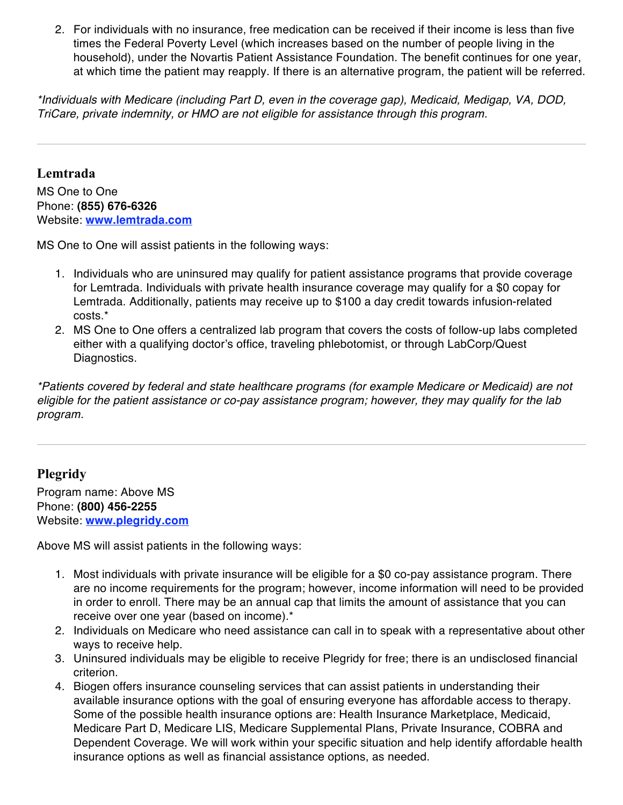2. For individuals with no insurance, free medication can be received if their income is less than five times the Federal Poverty Level (which increases based on the number of people living in the household), under the Novartis Patient Assistance Foundation. The benefit continues for one year, at which time the patient may reapply. If there is an alternative program, the patient will be referred.

*\*Individuals with Medicare (including Part D, even in the coverage gap), Medicaid, Medigap, VA, DOD, TriCare, private indemnity, or HMO are not eligible for assistance through this program.*

#### **Lemtrada**

MS One to One Phone: **(855) 676-6326** Website: **www.lemtrada.com**

MS One to One will assist patients in the following ways:

- 1. Individuals who are uninsured may qualify for patient assistance programs that provide coverage for Lemtrada. Individuals with private health insurance coverage may qualify for a \$0 copay for Lemtrada. Additionally, patients may receive up to \$100 a day credit towards infusion-related costs.\*
- 2. MS One to One offers a centralized lab program that covers the costs of follow-up labs completed either with a qualifying doctor's office, traveling phlebotomist, or through LabCorp/Quest Diagnostics.

*\*Patients covered by federal and state healthcare programs (for example Medicare or Medicaid) are not eligible for the patient assistance or co-pay assistance program; however, they may qualify for the lab program.* 

#### **Plegridy**

Program name: Above MS Phone: **(800) 456-2255** Website: **www.plegridy.com**

Above MS will assist patients in the following ways:

- 1. Most individuals with private insurance will be eligible for a \$0 co-pay assistance program. There are no income requirements for the program; however, income information will need to be provided in order to enroll. There may be an annual cap that limits the amount of assistance that you can receive over one year (based on income).\*
- 2. Individuals on Medicare who need assistance can call in to speak with a representative about other ways to receive help.
- 3. Uninsured individuals may be eligible to receive Plegridy for free; there is an undisclosed financial criterion.
- 4. Biogen offers insurance counseling services that can assist patients in understanding their available insurance options with the goal of ensuring everyone has affordable access to therapy. Some of the possible health insurance options are: Health Insurance Marketplace, Medicaid, Medicare Part D, Medicare LIS, Medicare Supplemental Plans, Private Insurance, COBRA and Dependent Coverage. We will work within your specific situation and help identify affordable health insurance options as well as financial assistance options, as needed.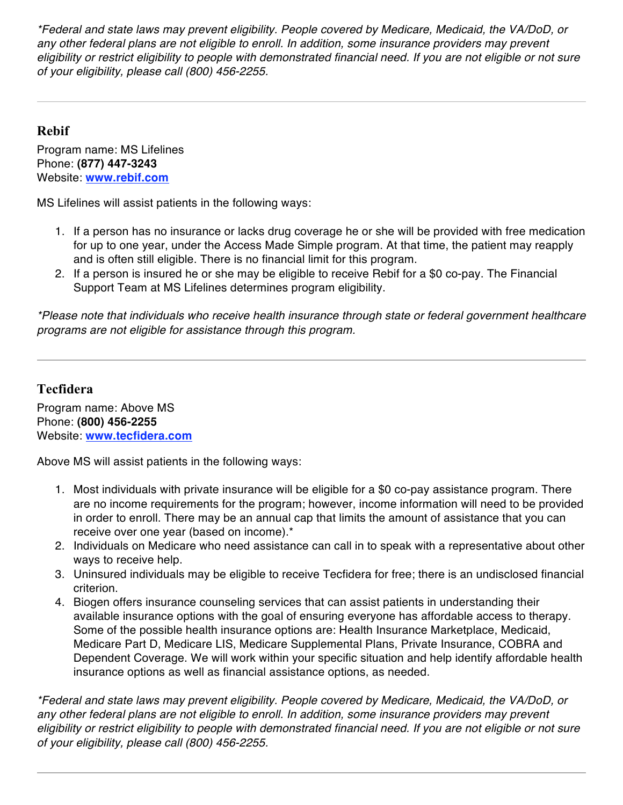*\*Federal and state laws may prevent eligibility. People covered by Medicare, Medicaid, the VA/DoD, or any other federal plans are not eligible to enroll. In addition, some insurance providers may prevent eligibility or restrict eligibility to people with demonstrated financial need. If you are not eligible or not sure of your eligibility, please call (800) 456-2255.*

#### **Rebif**

Program name: MS Lifelines Phone: **(877) 447-3243** Website: **www.rebif.com**

MS Lifelines will assist patients in the following ways:

- 1. If a person has no insurance or lacks drug coverage he or she will be provided with free medication for up to one year, under the Access Made Simple program. At that time, the patient may reapply and is often still eligible. There is no financial limit for this program.
- 2. If a person is insured he or she may be eligible to receive Rebif for a \$0 co-pay. The Financial Support Team at MS Lifelines determines program eligibility.

*\*Please note that individuals who receive health insurance through state or federal government healthcare programs are not eligible for assistance through this program.*

#### **Tecfidera**

Program name: Above MS Phone: **(800) 456-2255** Website: **www.tecfidera.com**

Above MS will assist patients in the following ways:

- 1. Most individuals with private insurance will be eligible for a \$0 co-pay assistance program. There are no income requirements for the program; however, income information will need to be provided in order to enroll. There may be an annual cap that limits the amount of assistance that you can receive over one year (based on income).\*
- 2. Individuals on Medicare who need assistance can call in to speak with a representative about other ways to receive help.
- 3. Uninsured individuals may be eligible to receive Tecfidera for free; there is an undisclosed financial criterion.
- 4. Biogen offers insurance counseling services that can assist patients in understanding their available insurance options with the goal of ensuring everyone has affordable access to therapy. Some of the possible health insurance options are: Health Insurance Marketplace, Medicaid, Medicare Part D, Medicare LIS, Medicare Supplemental Plans, Private Insurance, COBRA and Dependent Coverage. We will work within your specific situation and help identify affordable health insurance options as well as financial assistance options, as needed.

*\*Federal and state laws may prevent eligibility. People covered by Medicare, Medicaid, the VA/DoD, or any other federal plans are not eligible to enroll. In addition, some insurance providers may prevent eligibility or restrict eligibility to people with demonstrated financial need. If you are not eligible or not sure of your eligibility, please call (800) 456-2255.*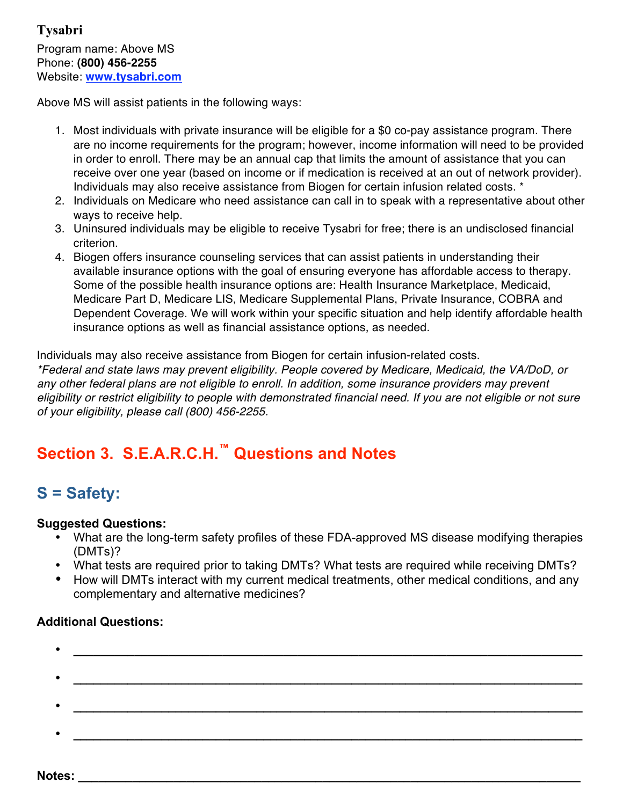Above MS will assist patients in the following ways:

- 1. Most individuals with private insurance will be eligible for a \$0 co-pay assistance program. There are no income requirements for the program; however, income information will need to be provided in order to enroll. There may be an annual cap that limits the amount of assistance that you can receive over one year (based on income or if medication is received at an out of network provider). Individuals may also receive assistance from Biogen for certain infusion related costs. \*
- 2. Individuals on Medicare who need assistance can call in to speak with a representative about other ways to receive help.
- 3. Uninsured individuals may be eligible to receive Tysabri for free; there is an undisclosed financial criterion.
- 4. Biogen offers insurance counseling services that can assist patients in understanding their available insurance options with the goal of ensuring everyone has affordable access to therapy. Some of the possible health insurance options are: Health Insurance Marketplace, Medicaid, Medicare Part D, Medicare LIS, Medicare Supplemental Plans, Private Insurance, COBRA and Dependent Coverage. We will work within your specific situation and help identify affordable health insurance options as well as financial assistance options, as needed.

Individuals may also receive assistance from Biogen for certain infusion-related costs.

*\*Federal and state laws may prevent eligibility. People covered by Medicare, Medicaid, the VA/DoD, or any other federal plans are not eligible to enroll. In addition, some insurance providers may prevent eligibility or restrict eligibility to people with demonstrated financial need. If you are not eligible or not sure of your eligibility, please call (800) 456-2255.*

## **Section 3. S.E.A.R.C.H.™ Questions and Notes**

## **S = Safety:**

#### **Suggested Questions:**

- What are the long-term safety profiles of these FDA-approved MS disease modifying therapies (DMTs)?
- What tests are required prior to taking DMTs? What tests are required while receiving DMTs?
- How will DMTs interact with my current medical treatments, other medical conditions, and any complementary and alternative medicines?

- **\_\_\_\_\_\_\_\_\_\_\_\_\_\_\_\_\_\_\_\_\_\_\_\_\_\_\_\_\_\_\_\_\_\_\_\_\_\_\_\_\_\_\_\_\_\_\_\_\_\_\_\_\_\_\_\_\_\_\_\_\_\_\_\_\_\_\_\_\_\_\_\_\_\_\_** • **\_\_\_\_\_\_\_\_\_\_\_\_\_\_\_\_\_\_\_\_\_\_\_\_\_\_\_\_\_\_\_\_\_\_\_\_\_\_\_\_\_\_\_\_\_\_\_\_\_\_\_\_\_\_\_\_\_\_\_\_\_\_\_\_\_\_\_\_\_\_\_\_\_\_\_**
- **\_\_\_\_\_\_\_\_\_\_\_\_\_\_\_\_\_\_\_\_\_\_\_\_\_\_\_\_\_\_\_\_\_\_\_\_\_\_\_\_\_\_\_\_\_\_\_\_\_\_\_\_\_\_\_\_\_\_\_\_\_\_\_\_\_\_\_\_\_\_\_\_\_\_\_**
- **\_\_\_\_\_\_\_\_\_\_\_\_\_\_\_\_\_\_\_\_\_\_\_\_\_\_\_\_\_\_\_\_\_\_\_\_\_\_\_\_\_\_\_\_\_\_\_\_\_\_\_\_\_\_\_\_\_\_\_\_\_\_\_\_\_\_\_\_\_\_\_\_\_\_\_**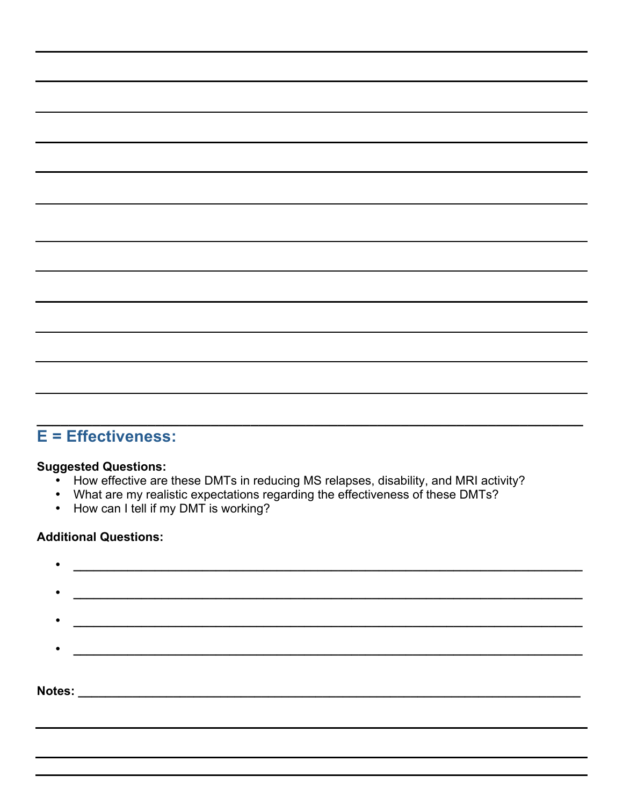## **E = Effectiveness:**

#### **Suggested Questions:**

• How effective are these DMTs in reducing MS relapses, disability, and MRI activity?

**\_\_\_\_\_\_\_\_\_\_\_\_\_\_\_\_\_\_\_\_\_\_\_\_\_\_\_\_\_\_\_\_\_\_\_\_\_\_\_\_\_\_\_\_\_\_\_\_\_\_\_\_\_\_\_\_\_\_\_\_\_\_\_\_\_\_\_\_\_**

- What are my realistic expectations regarding the effectiveness of these DMTs?
- How can I tell if my DMT is working?

|  | Notes: __________________________ |  |  |
|--|-----------------------------------|--|--|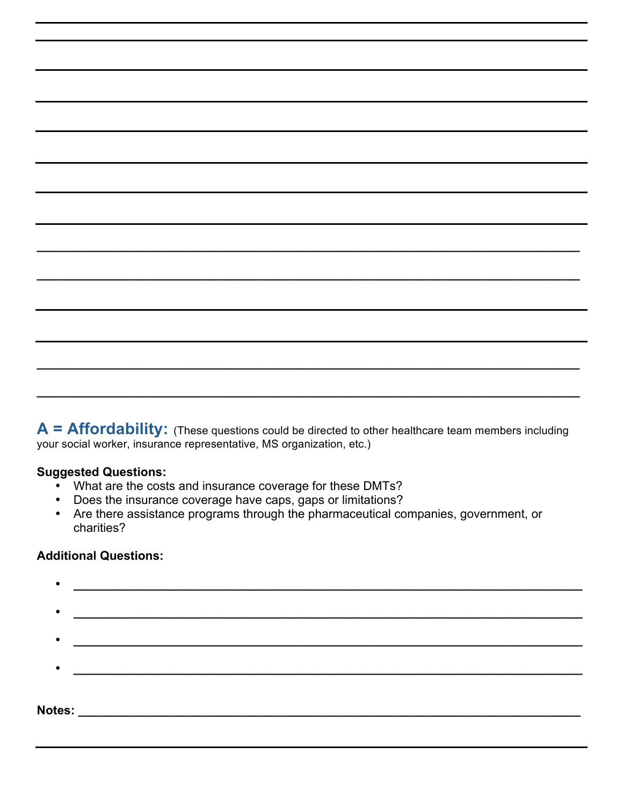**A = Affordability:** (These questions could be directed to other healthcare team members including your social worker, insurance representative, MS organization, etc.)

**\_\_\_\_\_\_\_\_\_\_\_\_\_\_\_\_\_\_\_\_\_\_\_\_\_\_\_\_\_\_\_\_\_\_\_\_\_\_\_\_\_\_\_\_\_\_\_\_\_\_\_\_\_\_\_\_\_\_\_\_\_\_\_\_\_\_\_\_\_\_\_\_\_\_\_\_\_\_\_\_**

**\_\_\_\_\_\_\_\_\_\_\_\_\_\_\_\_\_\_\_\_\_\_\_\_\_\_\_\_\_\_\_\_\_\_\_\_\_\_\_\_\_\_\_\_\_\_\_\_\_\_\_\_\_\_\_\_\_\_\_\_\_\_\_\_\_\_\_\_\_\_\_\_\_\_\_\_\_\_\_\_**

**\_\_\_\_\_\_\_\_\_\_\_\_\_\_\_\_\_\_\_\_\_\_\_\_\_\_\_\_\_\_\_\_\_\_\_\_\_\_\_\_\_\_\_\_\_\_\_\_\_\_\_\_\_\_\_\_\_\_\_\_\_\_\_\_\_\_\_\_\_\_\_\_\_\_\_\_\_\_\_\_**

**\_\_\_\_\_\_\_\_\_\_\_\_\_\_\_\_\_\_\_\_\_\_\_\_\_\_\_\_\_\_\_\_\_\_\_\_\_\_\_\_\_\_\_\_\_\_\_\_\_\_\_\_\_\_\_\_\_\_\_\_\_\_\_\_\_\_\_\_\_\_\_\_\_\_\_\_\_\_\_\_**

#### **Suggested Questions:**

- What are the costs and insurance coverage for these DMTs?
- Does the insurance coverage have caps, gaps or limitations?
- Are there assistance programs through the pharmaceutical companies, government, or charities?

| Notes: |  |
|--------|--|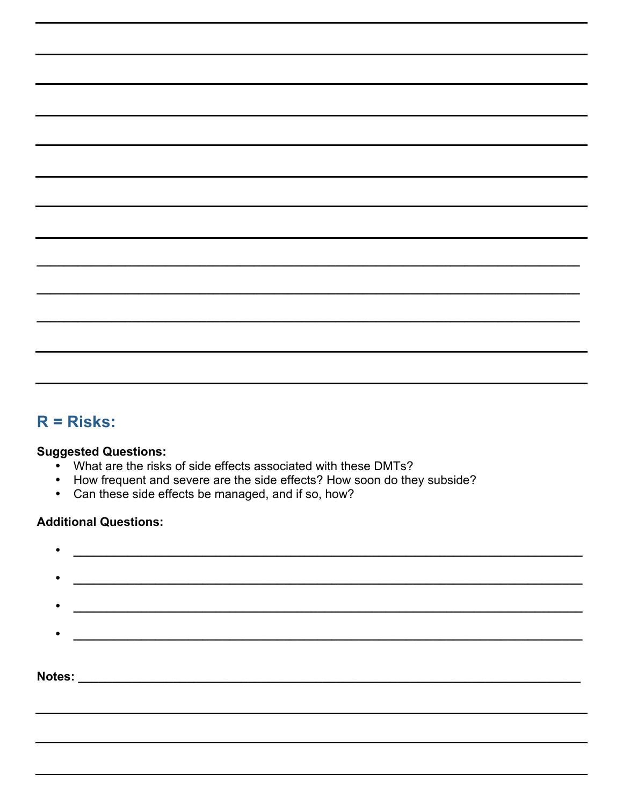## $R = Risks$ :

#### **Suggested Questions:**

- What are the risks of side effects associated with these DMTs?
- How frequent and severe are the side effects? How soon do they subside?
- Can these side effects be managed, and if so, how?

| $\bullet$ |                                                                                                                      |
|-----------|----------------------------------------------------------------------------------------------------------------------|
| $\bullet$ |                                                                                                                      |
|           |                                                                                                                      |
| Notes:    | <u> 1989 - Johann John Stone, mars eta bainar eta bainar eta baina eta baina eta baina eta baina eta baina eta b</u> |
|           |                                                                                                                      |
|           |                                                                                                                      |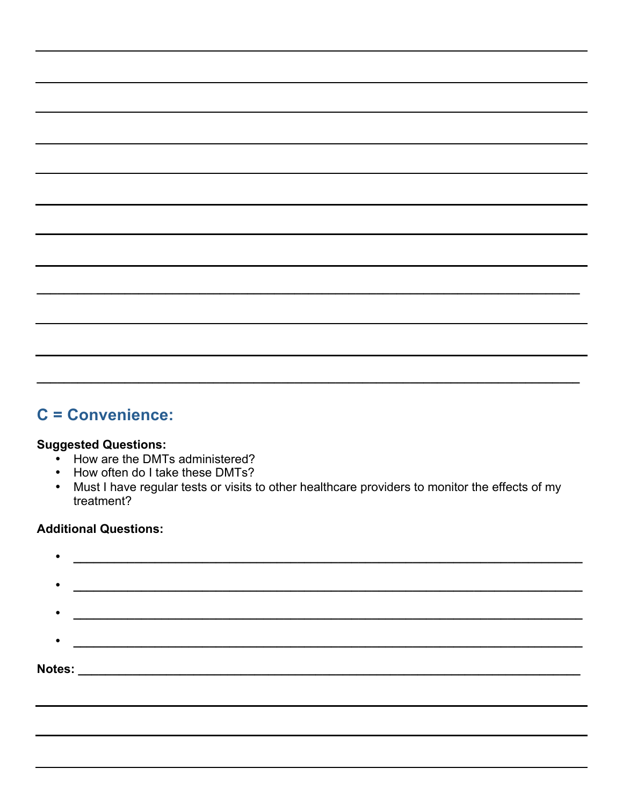### C = Convenience:

#### **Suggested Questions:**

- How are the DMTs administered?
- How often do I take these DMTs?  $\bullet$
- Must I have regular tests or visits to other healthcare providers to monitor the effects of my treatment?

| ٠             |                                                                   |
|---------------|-------------------------------------------------------------------|
| $\bullet$     |                                                                   |
| $\bullet$     |                                                                   |
|               |                                                                   |
| <b>Notes:</b> | <u> 1980 - Johann John Stone, mars eta biztanleria (h. 1980).</u> |
|               |                                                                   |
|               |                                                                   |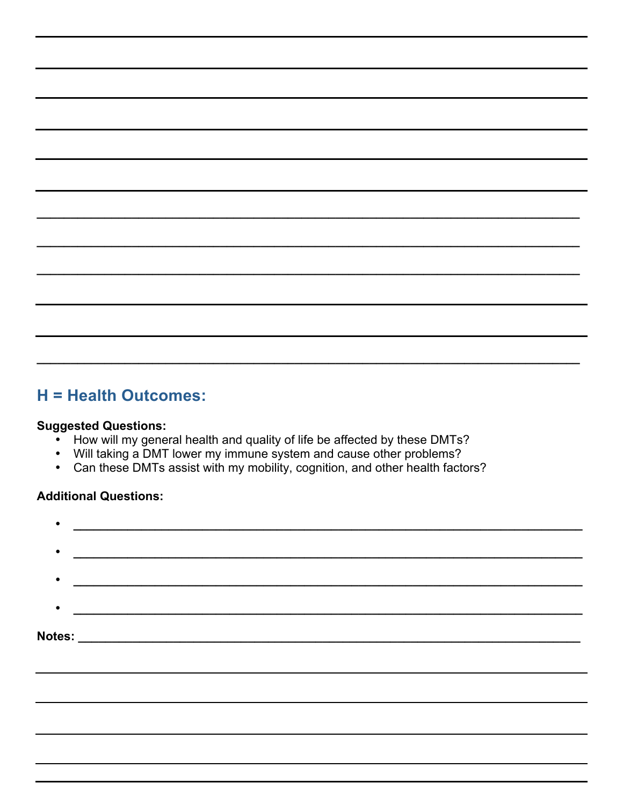### H = Health Outcomes:

#### **Suggested Questions:**

- How will my general health and quality of life be affected by these DMTs?
- Will taking a DMT lower my immune system and cause other problems?
- Can these DMTs assist with my mobility, cognition, and other health factors?  $\bullet$

| $\bullet$ |                                                                                                                      |  |  |
|-----------|----------------------------------------------------------------------------------------------------------------------|--|--|
|           | <u> 1999 - Jan Salaman Santa Barat da Santa Barat da Santa Barat da Santa Barat da Santa Barat da Santa Barat da</u> |  |  |
|           |                                                                                                                      |  |  |
|           |                                                                                                                      |  |  |
|           |                                                                                                                      |  |  |
|           |                                                                                                                      |  |  |
|           |                                                                                                                      |  |  |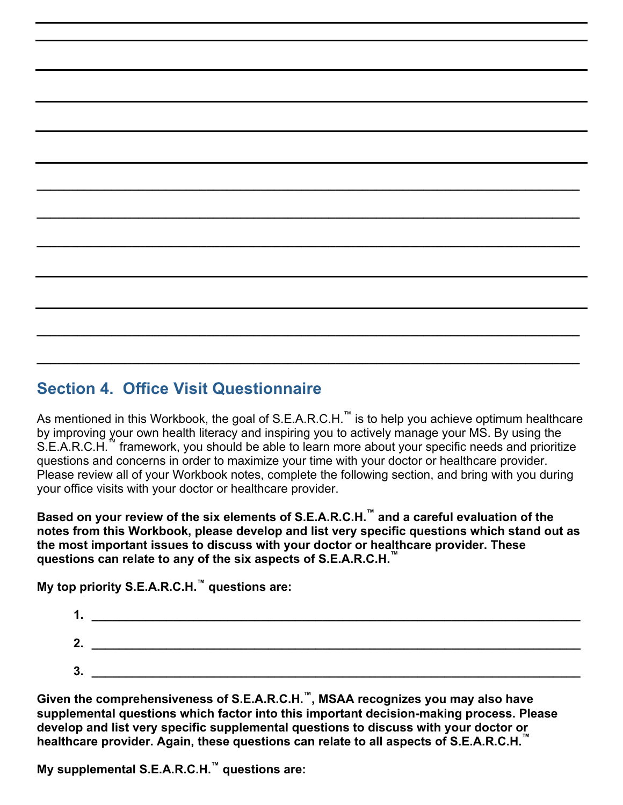## **\_\_\_\_\_\_\_\_\_\_\_\_\_\_\_\_\_\_\_\_\_\_\_\_\_\_\_\_\_\_\_\_\_\_\_\_\_\_\_\_\_\_\_\_\_\_\_\_\_\_\_\_\_\_\_\_\_\_\_\_\_\_\_\_\_\_\_\_\_\_\_\_\_\_\_\_\_\_\_\_ Section 4. Office Visit Questionnaire**

As mentioned in this Workbook, the goal of S.E.A.R.C.H.<sup>™</sup> is to help you achieve optimum healthcare by improving your own health literacy and inspiring you to actively manage your MS. By using the S.E.A.R.C.H.<sup>""</sup> framework, you should be able to learn more about your specific needs and prioritize questions and concerns in order to maximize your time with your doctor or healthcare provider. Please review all of your Workbook notes, complete the following section, and bring with you during your office visits with your doctor or healthcare provider.

**\_\_\_\_\_\_\_\_\_\_\_\_\_\_\_\_\_\_\_\_\_\_\_\_\_\_\_\_\_\_\_\_\_\_\_\_\_\_\_\_\_\_\_\_\_\_\_\_\_\_\_\_\_\_\_\_\_\_\_\_\_\_\_\_\_\_\_\_\_\_\_\_\_\_\_\_\_\_\_\_**

**\_\_\_\_\_\_\_\_\_\_\_\_\_\_\_\_\_\_\_\_\_\_\_\_\_\_\_\_\_\_\_\_\_\_\_\_\_\_\_\_\_\_\_\_\_\_\_\_\_\_\_\_\_\_\_\_\_\_\_\_\_\_\_\_\_\_\_\_\_\_\_\_\_\_\_\_\_\_\_\_**

**\_\_\_\_\_\_\_\_\_\_\_\_\_\_\_\_\_\_\_\_\_\_\_\_\_\_\_\_\_\_\_\_\_\_\_\_\_\_\_\_\_\_\_\_\_\_\_\_\_\_\_\_\_\_\_\_\_\_\_\_\_\_\_\_\_\_\_\_\_\_\_\_\_\_\_\_\_\_\_\_**

**\_\_\_\_\_\_\_\_\_\_\_\_\_\_\_\_\_\_\_\_\_\_\_\_\_\_\_\_\_\_\_\_\_\_\_\_\_\_\_\_\_\_\_\_\_\_\_\_\_\_\_\_\_\_\_\_\_\_\_\_\_\_\_\_\_\_\_\_\_\_\_\_\_\_\_\_\_\_\_\_**

**Based on your review of the six elements of S.E.A.R.C.H.™ and a careful evaluation of the notes from this Workbook, please develop and list very specific questions which stand out as the most important issues to discuss with your doctor or healthcare provider. These questions can relate to any of the six aspects of S.E.A.R.C.H.™**

**My top priority S.E.A.R.C.H.™ questions are:**



**Given the comprehensiveness of S.E.A.R.C.H.™, MSAA recognizes you may also have supplemental questions which factor into this important decision-making process. Please develop and list very specific supplemental questions to discuss with your doctor or healthcare provider. Again, these questions can relate to all aspects of S.E.A.R.C.H.™**

**My supplemental S.E.A.R.C.H.™ questions are:**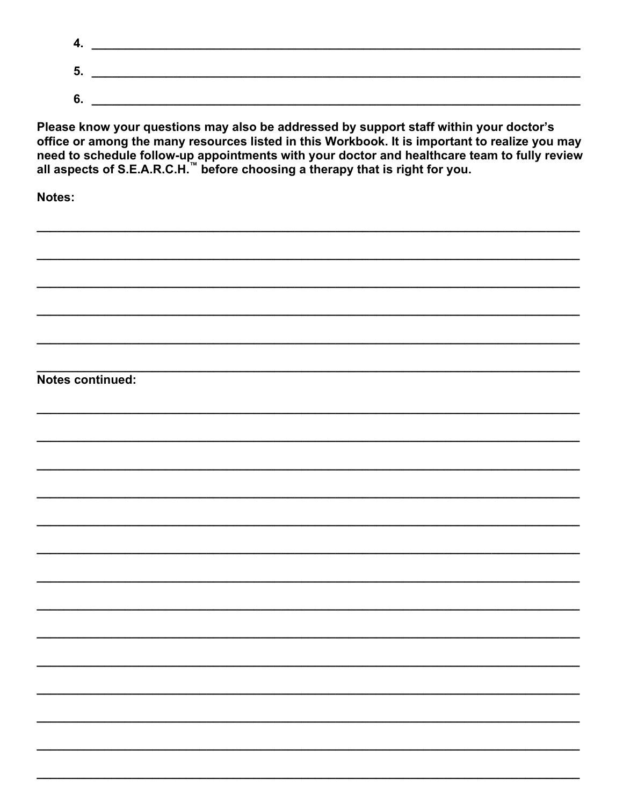| 4. |  |
|----|--|
| 5. |  |
| 6. |  |

Please know your questions may also be addressed by support staff within your doctor's office or among the many resources listed in this Workbook. It is important to realize you may need to schedule follow-up appointments

**Notes:** 

Notes continued: